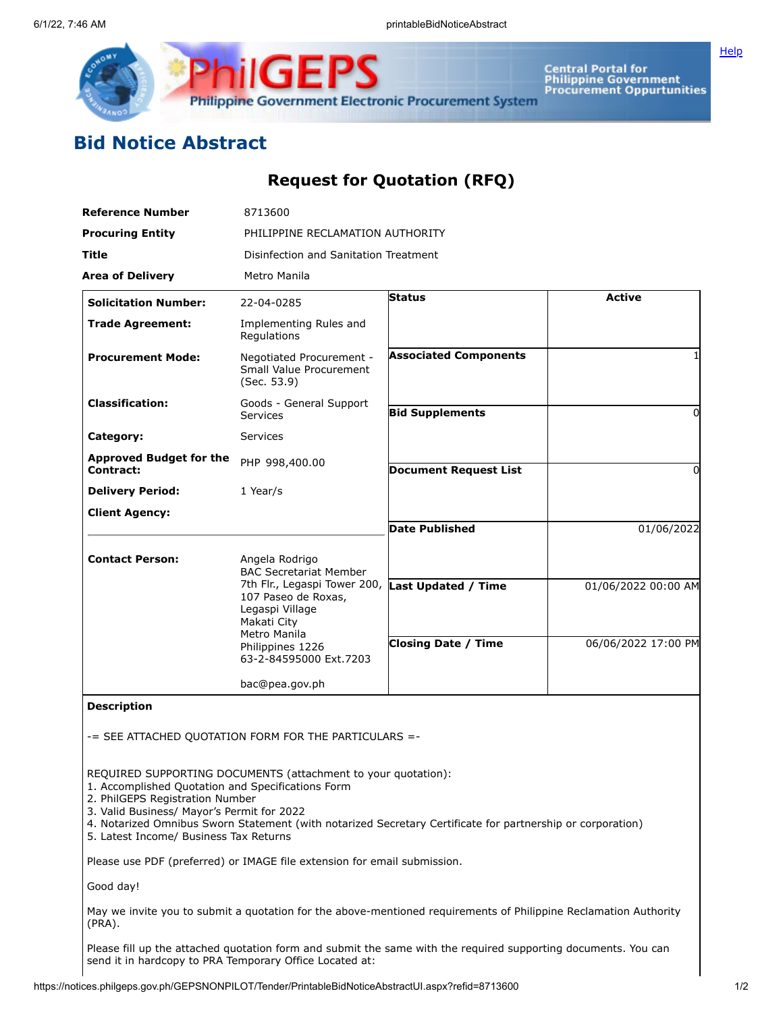

Central Portal for<br>Philippine Government<br>Procurement Oppurtunities

**[Help](javascript:void(window.open()** 

## **Bid Notice Abstract**

## **Request for Quotation (RFQ)**

| <b>Reference Number</b>                            | 8713600                                                                                                                                                                                                |                              |                     |  |  |  |
|----------------------------------------------------|--------------------------------------------------------------------------------------------------------------------------------------------------------------------------------------------------------|------------------------------|---------------------|--|--|--|
| <b>Procuring Entity</b>                            | PHILIPPINE RECLAMATION AUTHORITY                                                                                                                                                                       |                              |                     |  |  |  |
| Title                                              | Disinfection and Sanitation Treatment                                                                                                                                                                  |                              |                     |  |  |  |
| <b>Area of Delivery</b>                            | Metro Manila                                                                                                                                                                                           |                              |                     |  |  |  |
| <b>Solicitation Number:</b>                        | 22-04-0285                                                                                                                                                                                             | Status                       | <b>Active</b>       |  |  |  |
| <b>Trade Agreement:</b>                            | Implementing Rules and<br>Regulations                                                                                                                                                                  |                              |                     |  |  |  |
| <b>Procurement Mode:</b>                           | Negotiated Procurement -<br>Small Value Procurement<br>(Sec. 53.9)                                                                                                                                     | <b>Associated Components</b> |                     |  |  |  |
| <b>Classification:</b>                             | Goods - General Support<br><b>Services</b>                                                                                                                                                             | <b>Bid Supplements</b>       | $\Omega$            |  |  |  |
| Category:                                          | <b>Services</b>                                                                                                                                                                                        |                              |                     |  |  |  |
| <b>Approved Budget for the</b><br><b>Contract:</b> | PHP 998,400.00                                                                                                                                                                                         | <b>Document Request List</b> | 0                   |  |  |  |
| <b>Delivery Period:</b>                            | 1 Year/s                                                                                                                                                                                               |                              |                     |  |  |  |
| <b>Client Agency:</b>                              |                                                                                                                                                                                                        |                              |                     |  |  |  |
|                                                    |                                                                                                                                                                                                        | <b>Date Published</b>        | 01/06/2022          |  |  |  |
| <b>Contact Person:</b>                             | Angela Rodrigo<br><b>BAC Secretariat Member</b><br>7th Flr., Legaspi Tower 200,<br>107 Paseo de Roxas,<br>Legaspi Village<br>Makati City<br>Metro Manila<br>Philippines 1226<br>63-2-84595000 Ext.7203 |                              |                     |  |  |  |
|                                                    |                                                                                                                                                                                                        | <b>Last Updated / Time</b>   | 01/06/2022 00:00 AM |  |  |  |
|                                                    |                                                                                                                                                                                                        | <b>Closing Date / Time</b>   | 06/06/2022 17:00 PM |  |  |  |
|                                                    | bac@pea.gov.ph                                                                                                                                                                                         |                              |                     |  |  |  |
| <b>Description</b>                                 |                                                                                                                                                                                                        |                              |                     |  |  |  |
|                                                    | -= SEE ATTACHED QUOTATION FORM FOR THE PARTICULARS =-                                                                                                                                                  |                              |                     |  |  |  |
| 1. Accomplished Quotation and Specifications Form  | REQUIRED SUPPORTING DOCUMENTS (attachment to your quotation):                                                                                                                                          |                              |                     |  |  |  |

2. PhilGEPS Registration Number

3. Valid Business/ Mayor's Permit for 2022

4. Notarized Omnibus Sworn Statement (with notarized Secretary Certificate for partnership or corporation)

5. Latest Income/ Business Tax Returns

Please use PDF (preferred) or IMAGE file extension for email submission.

Good day!

May we invite you to submit a quotation for the above-mentioned requirements of Philippine Reclamation Authority (PRA).

Please fill up the attached quotation form and submit the same with the required supporting documents. You can send it in hardcopy to PRA Temporary Office Located at: